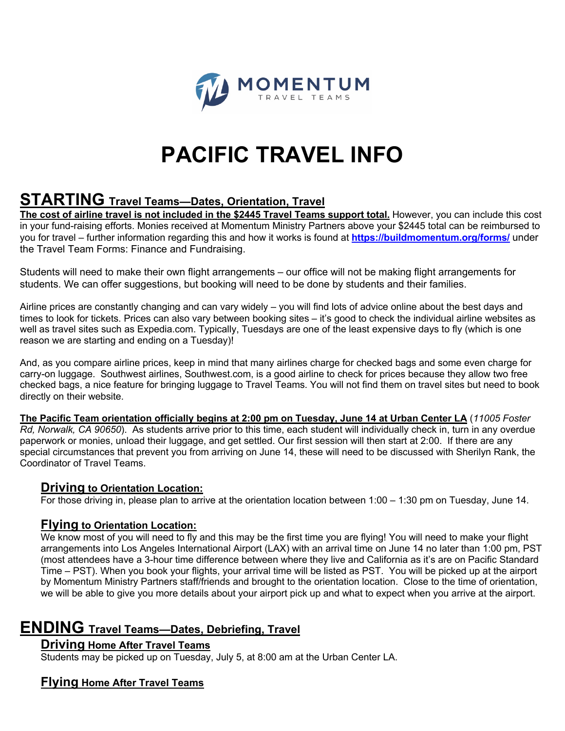

## **PACIFIC TRAVEL INFO**

### **STARTING Travel Teams—Dates, Orientation, Travel**

**The cost of airline travel is not included in the \$2445 Travel Teams support total.** However, you can include this cost in your fund-raising efforts. Monies received at Momentum Ministry Partners above your \$2445 total can be reimbursed to you for travel – further information regarding this and how it works is found at **https://buildmomentum.org/forms/** under the Travel Team Forms: Finance and Fundraising.

Students will need to make their own flight arrangements – our office will not be making flight arrangements for students. We can offer suggestions, but booking will need to be done by students and their families.

Airline prices are constantly changing and can vary widely – you will find lots of advice online about the best days and times to look for tickets. Prices can also vary between booking sites – it's good to check the individual airline websites as well as travel sites such as Expedia.com. Typically, Tuesdays are one of the least expensive days to fly (which is one reason we are starting and ending on a Tuesday)!

And, as you compare airline prices, keep in mind that many airlines charge for checked bags and some even charge for carry-on luggage. Southwest airlines, Southwest.com, is a good airline to check for prices because they allow two free checked bags, a nice feature for bringing luggage to Travel Teams. You will not find them on travel sites but need to book directly on their website.

**The Pacific Team orientation officially begins at 2:00 pm on Tuesday, June 14 at Urban Center LA** (*11005 Foster Rd, Norwalk, CA 90650*). As students arrive prior to this time, each student will individually check in, turn in any overdue paperwork or monies, unload their luggage, and get settled. Our first session will then start at 2:00. If there are any special circumstances that prevent you from arriving on June 14, these will need to be discussed with Sherilyn Rank, the Coordinator of Travel Teams.

#### **Driving to Orientation Location:**

For those driving in, please plan to arrive at the orientation location between 1:00 – 1:30 pm on Tuesday, June 14.

### **Flying to Orientation Location:**

We know most of you will need to fly and this may be the first time you are flying! You will need to make your flight arrangements into Los Angeles International Airport (LAX) with an arrival time on June 14 no later than 1:00 pm, PST (most attendees have a 3-hour time difference between where they live and California as it's are on Pacific Standard Time – PST). When you book your flights, your arrival time will be listed as PST. You will be picked up at the airport by Momentum Ministry Partners staff/friends and brought to the orientation location. Close to the time of orientation, we will be able to give you more details about your airport pick up and what to expect when you arrive at the airport.

## **ENDING Travel Teams—Dates, Debriefing, Travel**

### **Driving Home After Travel Teams**

Students may be picked up on Tuesday, July 5, at 8:00 am at the Urban Center LA.

### **Flying Home After Travel Teams**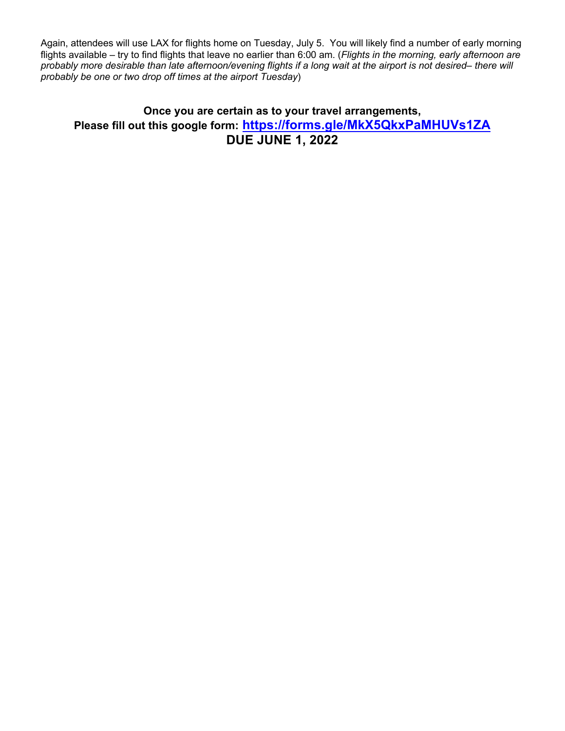Again, attendees will use LAX for flights home on Tuesday, July 5. You will likely find a number of early morning flights available – try to find flights that leave no earlier than 6:00 am. (*Flights in the morning, early afternoon are probably more desirable than late afternoon/evening flights if a long wait at the airport is not desired– there will probably be one or two drop off times at the airport Tuesday*)

### **Once you are certain as to your travel arrangements, Please fill out this google form: https://forms.gle/MkX5QkxPaMHUVs1ZA DUE JUNE 1, 2022**